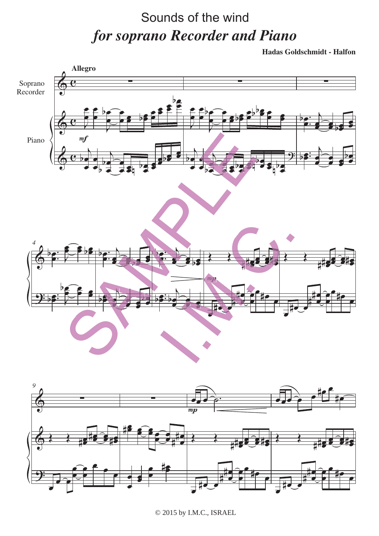## Sounds of the wind for soprano Recorder and Piano

Hadas Goldschmidt - Halfon



© 2015 by I.M.C., ISRAEL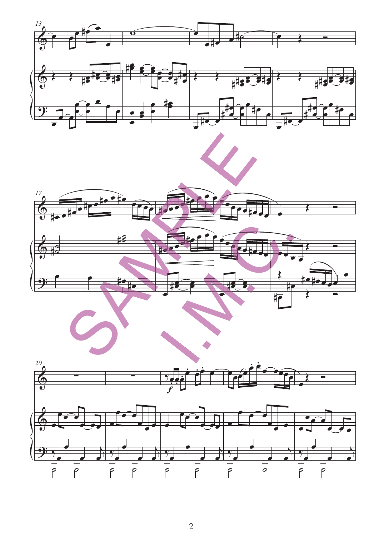